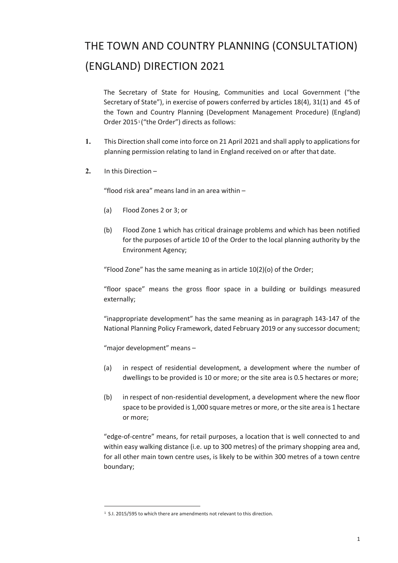## THE TOWN AND COUNTRY PLANNING (CONSULTATION) (ENGLAND) DIRECTION 2021

The Secretary of State for Housing, Communities and Local Government ("the Secretary of State"), in exercise of powers conferred by articles 18(4), 31(1) and 45 of the Town and Country Planning (Development Management Procedure) (England) Order 20[1](#page-0-0)5<sup>1</sup> ("the Order") directs as follows:

- **1.** This Direction shall come into force on 21 April 2021 and shall apply to applications for planning permission relating to land in England received on or after that date.
- **2.** In this Direction –

"flood risk area" means land in an area within –

- (a) Flood Zones 2 or 3; or
- (b) Flood Zone 1 which has critical drainage problems and which has been notified for the purposes of article 10 of the Order to the local planning authority by the Environment Agency;

"Flood Zone" has the same meaning as in article 10(2)(o) of the Order;

"floor space" means the gross floor space in a building or buildings measured externally;

"inappropriate development" has the same meaning as in paragraph 143-147 of the National Planning Policy Framework, dated February 2019 or any successor document;

"major development" means –

- (a) in respect of residential development, a development where the number of dwellings to be provided is 10 or more; or the site area is 0.5 hectares or more;
- (b) in respect of non-residential development, a development where the new floor space to be provided is 1,000 square metres or more, or the site area is 1 hectare or more;

"edge-of-centre" means, for retail purposes, a location that is well connected to and within easy walking distance (i.e. up to 300 metres) of the primary shopping area and, for all other main town centre uses, is likely to be within 300 metres of a town centre boundary;

<span id="page-0-0"></span><sup>&</sup>lt;sup>1</sup> S.I. 2015/595 to which there are amendments not relevant to this direction.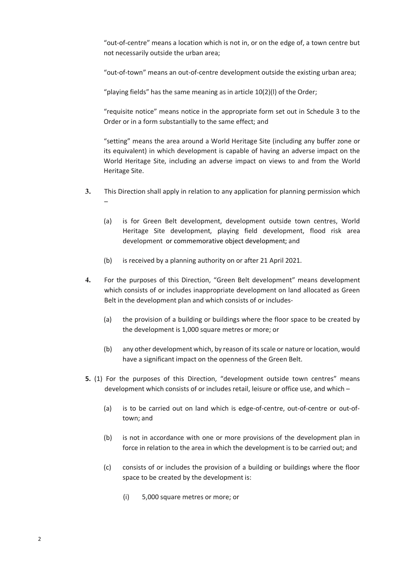"out-of-centre" means a location which is not in, or on the edge of, a town centre but not necessarily outside the urban area;

"out-of-town" means an out-of-centre development outside the existing urban area;

"playing fields" has the same meaning as in article 10(2)(l) of the Order;

"requisite notice" means notice in the appropriate form set out in Schedule 3 to the Order or in a form substantially to the same effect; and

"setting" means the area around a World Heritage Site (including any buffer zone or its equivalent) in which development is capable of having an adverse impact on the World Heritage Site, including an adverse impact on views to and from the World Heritage Site.

- **3.** This Direction shall apply in relation to any application for planning permission which –
	- (a) is for Green Belt development, development outside town centres, World Heritage Site development, playing field development, flood risk area development or commemorative object development; and
	- (b) is received by a planning authority on or after 21 April 2021.
- **4.** For the purposes of this Direction, "Green Belt development" means development which consists of or includes inappropriate development on land allocated as Green Belt in the development plan and which consists of or includes-
	- (a) the provision of a building or buildings where the floor space to be created by the development is 1,000 square metres or more; or
	- (b) any other development which, by reason of its scale or nature or location, would have a significant impact on the openness of the Green Belt.
- **5.** (1) For the purposes of this Direction, "development outside town centres" means development which consists of or includes retail, leisure or office use, and which –
	- (a) is to be carried out on land which is edge-of-centre, out-of-centre or out-oftown; and
	- (b) is not in accordance with one or more provisions of the development plan in force in relation to the area in which the development is to be carried out; and
	- (c) consists of or includes the provision of a building or buildings where the floor space to be created by the development is:
		- (i) 5,000 square metres or more; or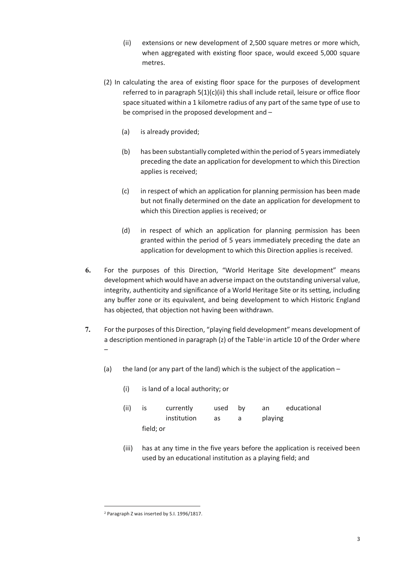- (ii) extensions or new development of 2,500 square metres or more which, when aggregated with existing floor space, would exceed 5,000 square metres.
- (2) In calculating the area of existing floor space for the purposes of development referred to in paragraph 5(1)(c)(ii) this shall include retail, leisure or office floor space situated within a 1 kilometre radius of any part of the same type of use to be comprised in the proposed development and –
	- (a) is already provided;
	- (b) has been substantially completed within the period of 5 years immediately preceding the date an application for development to which this Direction applies is received;
	- (c) in respect of which an application for planning permission has been made but not finally determined on the date an application for development to which this Direction applies is received; or
	- (d) in respect of which an application for planning permission has been granted within the period of 5 years immediately preceding the date an application for development to which this Direction applies is received.
- **6.** For the purposes of this Direction, "World Heritage Site development" means development which would have an adverse impact on the outstanding universal value, integrity, authenticity and significance of a World Heritage Site or its setting, including any buffer zone or its equivalent, and being development to which Historic England has objected, that objection not having been withdrawn.
- **7.** For the purposes of this Direction, "playing field development" means development of a description mentioned in paragraph  $(z)$  of the Table<sup>[2](#page-2-0)</sup> in article 10 of the Order where –
	- (a) the land (or any part of the land) which is the subject of the application  $-$

| (ii) | İS        | currently   | used | bv | an      | educational |
|------|-----------|-------------|------|----|---------|-------------|
|      |           | institution | as   | a  | playing |             |
|      | field; or |             |      |    |         |             |

(iii) has at any time in the five years before the application is received been used by an educational institution as a playing field; and

(i) is land of a local authority; or

<span id="page-2-0"></span><sup>2</sup> Paragraph Z was inserted by S.I. 1996/1817.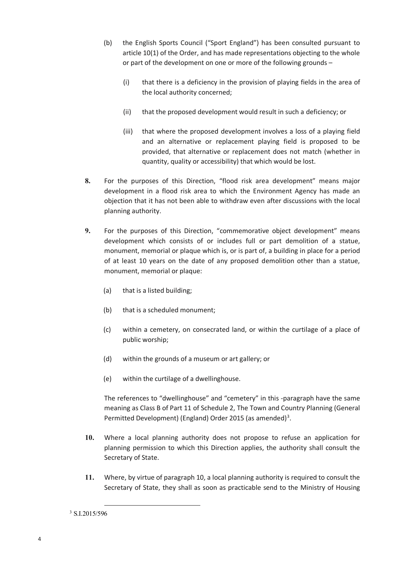- (b) the English Sports Council ("Sport England") has been consulted pursuant to article 10(1) of the Order, and has made representations objecting to the whole or part of the development on one or more of the following grounds –
	- (i) that there is a deficiency in the provision of playing fields in the area of the local authority concerned;
	- (ii) that the proposed development would result in such a deficiency; or
	- (iii) that where the proposed development involves a loss of a playing field and an alternative or replacement playing field is proposed to be provided, that alternative or replacement does not match (whether in quantity, quality or accessibility) that which would be lost.
- **8.** For the purposes of this Direction, "flood risk area development" means major development in a flood risk area to which the Environment Agency has made an objection that it has not been able to withdraw even after discussions with the local planning authority.
- **9.** For the purposes of this Direction, "commemorative object development" means development which consists of or includes full or part demolition of a statue, monument, memorial or plaque which is, or is part of, a building in place for a period of at least 10 years on the date of any proposed demolition other than a statue, monument, memorial or plaque:
	- (a) that is a listed building;
	- (b) that is a scheduled monument;
	- (c) within a cemetery, on consecrated land, or within the curtilage of a place of public worship;
	- (d) within the grounds of a museum or art gallery; or
	- (e) within the curtilage of a dwellinghouse.

The references to "dwellinghouse" and "cemetery" in this -paragraph have the same meaning as Class B of Part 11 of Schedule 2, The Town and Country Planning (General Permitted Development) (England) Order 2015 (as amended)<sup>[3](#page-3-0)</sup>.

- **10.** Where a local planning authority does not propose to refuse an application for planning permission to which this Direction applies, the authority shall consult the Secretary of State.
- **11.** Where, by virtue of paragraph 10, a local planning authority is required to consult the Secretary of State, they shall as soon as practicable send to the Ministry of Housing

<span id="page-3-0"></span><sup>3</sup> S.I.2015/596